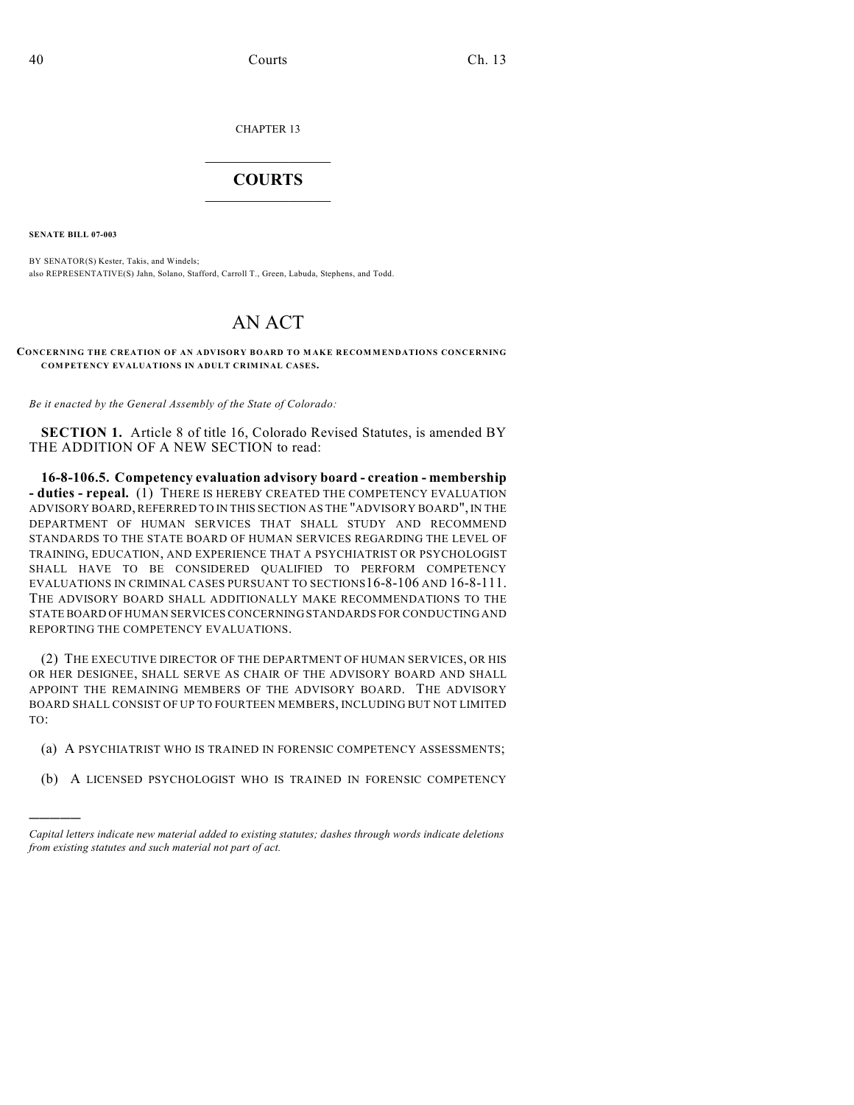CHAPTER 13

## $\mathcal{L}_\text{max}$  . The set of the set of the set of the set of the set of the set of the set of the set of the set of the set of the set of the set of the set of the set of the set of the set of the set of the set of the set **COURTS**  $\_$

**SENATE BILL 07-003**

)))))

BY SENATOR(S) Kester, Takis, and Windels; also REPRESENTATIVE(S) Jahn, Solano, Stafford, Carroll T., Green, Labuda, Stephens, and Todd.

## AN ACT

**CONCERNING THE CREATION OF AN ADVISORY BOARD TO MAKE RECOMMENDATIONS CONCERNING COMPETENCY EVALUATIONS IN ADULT CRIMINAL CASES.**

*Be it enacted by the General Assembly of the State of Colorado:*

**SECTION 1.** Article 8 of title 16, Colorado Revised Statutes, is amended BY THE ADDITION OF A NEW SECTION to read:

**16-8-106.5. Competency evaluation advisory board - creation - membership - duties - repeal.** (1) THERE IS HEREBY CREATED THE COMPETENCY EVALUATION ADVISORY BOARD, REFERRED TO IN THIS SECTION AS THE "ADVISORY BOARD", IN THE DEPARTMENT OF HUMAN SERVICES THAT SHALL STUDY AND RECOMMEND STANDARDS TO THE STATE BOARD OF HUMAN SERVICES REGARDING THE LEVEL OF TRAINING, EDUCATION, AND EXPERIENCE THAT A PSYCHIATRIST OR PSYCHOLOGIST SHALL HAVE TO BE CONSIDERED QUALIFIED TO PERFORM COMPETENCY EVALUATIONS IN CRIMINAL CASES PURSUANT TO SECTIONS16-8-106 AND 16-8-111. THE ADVISORY BOARD SHALL ADDITIONALLY MAKE RECOMMENDATIONS TO THE STATE BOARD OF HUMAN SERVICES CONCERNING STANDARDS FOR CONDUCTING AND REPORTING THE COMPETENCY EVALUATIONS.

(2) THE EXECUTIVE DIRECTOR OF THE DEPARTMENT OF HUMAN SERVICES, OR HIS OR HER DESIGNEE, SHALL SERVE AS CHAIR OF THE ADVISORY BOARD AND SHALL APPOINT THE REMAINING MEMBERS OF THE ADVISORY BOARD. THE ADVISORY BOARD SHALL CONSIST OF UP TO FOURTEEN MEMBERS, INCLUDING BUT NOT LIMITED TO:

- (a) A PSYCHIATRIST WHO IS TRAINED IN FORENSIC COMPETENCY ASSESSMENTS;
- (b) A LICENSED PSYCHOLOGIST WHO IS TRAINED IN FORENSIC COMPETENCY

*Capital letters indicate new material added to existing statutes; dashes through words indicate deletions from existing statutes and such material not part of act.*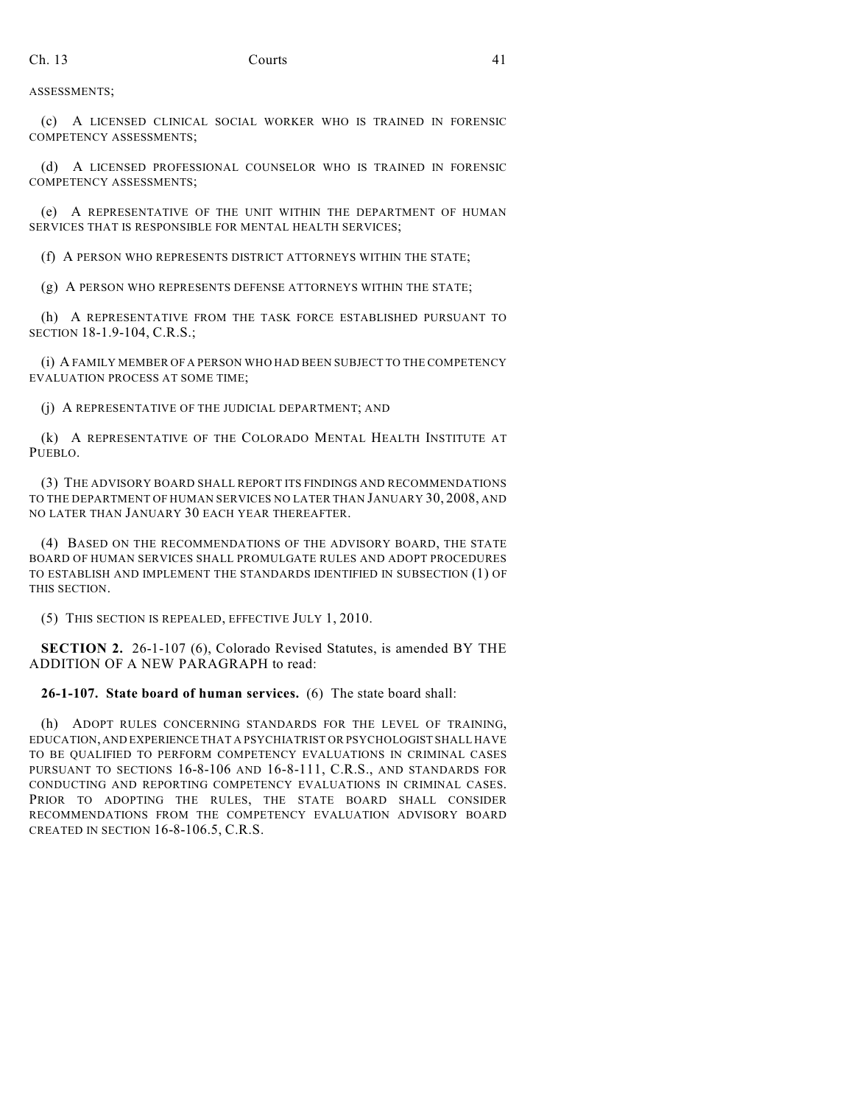ASSESSMENTS;

(c) A LICENSED CLINICAL SOCIAL WORKER WHO IS TRAINED IN FORENSIC COMPETENCY ASSESSMENTS;

(d) A LICENSED PROFESSIONAL COUNSELOR WHO IS TRAINED IN FORENSIC COMPETENCY ASSESSMENTS;

(e) A REPRESENTATIVE OF THE UNIT WITHIN THE DEPARTMENT OF HUMAN SERVICES THAT IS RESPONSIBLE FOR MENTAL HEALTH SERVICES;

(f) A PERSON WHO REPRESENTS DISTRICT ATTORNEYS WITHIN THE STATE;

(g) A PERSON WHO REPRESENTS DEFENSE ATTORNEYS WITHIN THE STATE;

(h) A REPRESENTATIVE FROM THE TASK FORCE ESTABLISHED PURSUANT TO SECTION 18-1.9-104, C.R.S.;

(i) A FAMILY MEMBER OF A PERSON WHO HAD BEEN SUBJECT TO THE COMPETENCY EVALUATION PROCESS AT SOME TIME;

(j) A REPRESENTATIVE OF THE JUDICIAL DEPARTMENT; AND

(k) A REPRESENTATIVE OF THE COLORADO MENTAL HEALTH INSTITUTE AT PUEBLO.

(3) THE ADVISORY BOARD SHALL REPORT ITS FINDINGS AND RECOMMENDATIONS TO THE DEPARTMENT OF HUMAN SERVICES NO LATER THAN JANUARY 30, 2008, AND NO LATER THAN JANUARY 30 EACH YEAR THEREAFTER.

(4) BASED ON THE RECOMMENDATIONS OF THE ADVISORY BOARD, THE STATE BOARD OF HUMAN SERVICES SHALL PROMULGATE RULES AND ADOPT PROCEDURES TO ESTABLISH AND IMPLEMENT THE STANDARDS IDENTIFIED IN SUBSECTION (1) OF THIS SECTION.

(5) THIS SECTION IS REPEALED, EFFECTIVE JULY 1, 2010.

**SECTION 2.** 26-1-107 (6), Colorado Revised Statutes, is amended BY THE ADDITION OF A NEW PARAGRAPH to read:

**26-1-107. State board of human services.** (6) The state board shall:

(h) ADOPT RULES CONCERNING STANDARDS FOR THE LEVEL OF TRAINING, EDUCATION, AND EXPERIENCE THAT A PSYCHIATRIST OR PSYCHOLOGIST SHALL HAVE TO BE QUALIFIED TO PERFORM COMPETENCY EVALUATIONS IN CRIMINAL CASES PURSUANT TO SECTIONS 16-8-106 AND 16-8-111, C.R.S., AND STANDARDS FOR CONDUCTING AND REPORTING COMPETENCY EVALUATIONS IN CRIMINAL CASES. PRIOR TO ADOPTING THE RULES, THE STATE BOARD SHALL CONSIDER RECOMMENDATIONS FROM THE COMPETENCY EVALUATION ADVISORY BOARD CREATED IN SECTION 16-8-106.5, C.R.S.